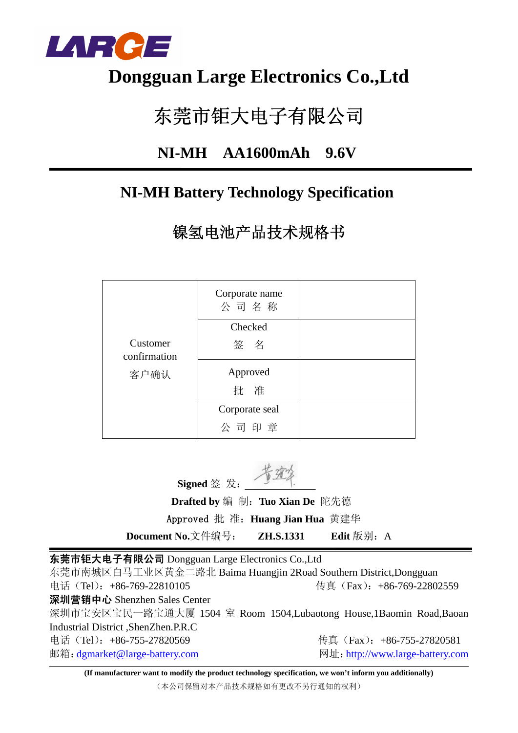

## **Dongguan Large Electronics Co.,Ltd**

# 东莞市钜大电子有限公司

## **NI-MH AA1600mAh 9.6V**

## **NI-MH Battery Technology Specification**

镍氢电池产品技术规格书

|                          | Corporate name<br>公司名称 |  |
|--------------------------|------------------------|--|
|                          | Checked                |  |
| Customer<br>confirmation | 签名                     |  |
| 客户确认                     | Approved               |  |
|                          | 批 准                    |  |
|                          | Corporate seal         |  |
|                          | 公司印章                   |  |

**Signed** 签 发:

 **Drafted by** 编 制:**Tuo Xian De** 陀先德 Approved 批 准:**Huang Jian Hua** 黄建华

**Document No.**文件编号: **ZH.S.1331** Edit 版别: A

东莞市钜大电子有限公司 Dongguan Large Electronics Co.,Ltd

东莞市南城区白马工业区黄金二路北 Baima Huangjin 2Road Southern District,Dongguan 电话(Tel): +86-769-22810105 传真(Fax): +86-769-22802559 深圳营销中心 Shenzhen Sales Center 深圳市宝安区宝民一路宝通大厦 1504 室 Room 1504,Lubaotong House,1Baomin Road,Baoan Industrial District ,ShenZhen.P.R.C 电话 (Tel): +86-755-27820569 传真 (Fax): +86-755-27820581 邮箱: dgmarket@large-battery.com 网址: http://www.large-battery.com

**(If manufacturer want to modify the product technology specification, we won't inform you additionally)** (本公司保留对本产品技术规格如有更改不另行通知的权利)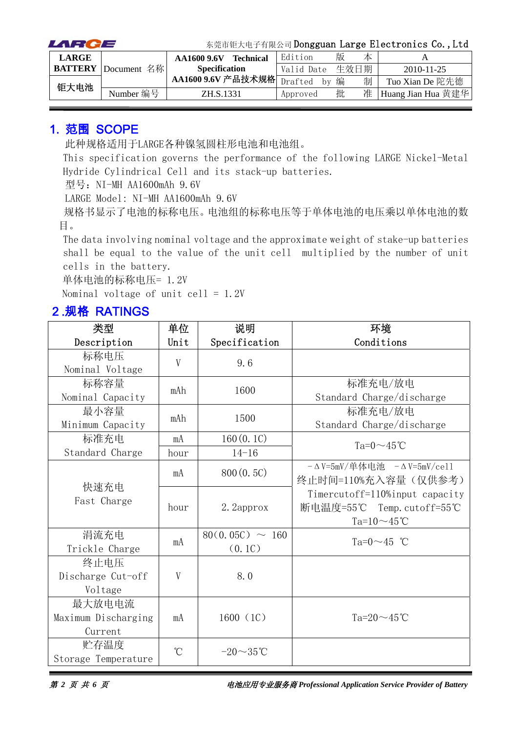| LARCE        |                            |                                                                    | 东莞市钜大电子有限公司 Dongguan Large Electronics Co., Ltd |      |   |                    |
|--------------|----------------------------|--------------------------------------------------------------------|-------------------------------------------------|------|---|--------------------|
| <b>LARGE</b> |                            | <b>Technical</b><br>AA1600 9.6V                                    | Edition                                         | 版    | 本 |                    |
|              | <b>BATTERY</b> Document 名称 | <b>Specification</b>                                               | Valid Date                                      | 生效日期 |   | $2010 - 11 - 25$   |
| 钜大电池         |                            | AA1600 9.6V 产品技术规格 $\boxed{\frac{\text{Draffed}}{\text{Draffed}}}$ | hv                                              | 编    | 制 | Tuo Xian De 陀先德    |
|              | Number 编号                  | ZH.S.1331                                                          | Approved                                        | 批    | 准 | Huang Jian Hua 黄建华 |

#### 1. 范围 SCOPE

此种规格适用于LARGE各种镍氢圆柱形电池和电池组。

This specification governs the performance of the following LARGE Nickel-Metal Hydride Cylindrical Cell and its stack-up batteries.

型号: NI-MH AA1600mAh 9.6V

LARGE Model: NI-MH AA1600mAh 9.6V

规格书显示了电池的标称电压。电池组的标称电压等于单体电池的电压乘以单体电池的数 目。

The data involving nominal voltage and the approximate weight of stake-up batteries shall be equal to the value of the unit cell multiplied by the number of unit cells in the battery.

单体电池的标称电压= 1.2V

Nominal voltage of unit cell =  $1.2V$ 

#### 2.规格 RATINGS

| 类型                  | 单位              | 说明                   | 环境                             |
|---------------------|-----------------|----------------------|--------------------------------|
| Description         | Unit            | Specification        | Conditions                     |
| 标称电压                | V               | 9.6                  |                                |
| Nominal Voltage     |                 |                      |                                |
| 标称容量                | mAh             | 1600                 | 标准充电/放电                        |
| Nominal Capacity    |                 |                      | Standard Charge/discharge      |
| 最小容量                | mAh             | 1500                 | 标准充电/放电                        |
| Minimum Capacity    |                 |                      | Standard Charge/discharge      |
| 标准充电                | mA              | 160(0.1C)            | Ta= $0 \sim 45$ °C             |
| Standard Charge     | hour            | $14 - 16$            |                                |
|                     | mA              | 800(0.5C)            | - ΔV=5mV/单体电池 - ΔV=5mV/ce11    |
| 快速充电                |                 |                      | 终止时间=110%充入容量(仅供参考)            |
| Fast Charge         |                 |                      | Timercutoff=110%input capacity |
|                     | hour            | 2. 2approx           | 断电温度=55℃ Temp.cutoff=55℃       |
|                     |                 |                      | Ta= $10 \sim 45$ °C            |
| 涓流充电                | mA              | $80(0.05C) \sim 160$ | Ta= $0 \sim 45$ °C             |
| Trickle Charge      |                 | (0.1C)               |                                |
| 终止电压                |                 |                      |                                |
| Discharge Cut-off   | V               | 8.0                  |                                |
| Voltage             |                 |                      |                                |
| 最大放电电流              |                 |                      |                                |
| Maximum Discharging | mA              | 1600(1C)             | Ta= $20 \sim 45$ °C            |
| Current             |                 |                      |                                |
| 贮存温度                | $\rm ^{\circ}C$ | $-20\sim35$ °C       |                                |
| Storage Temperature |                 |                      |                                |

第 *2* 页 共 *6* 页电池应用专业服务商 *Professional Application Service Provider of Battery*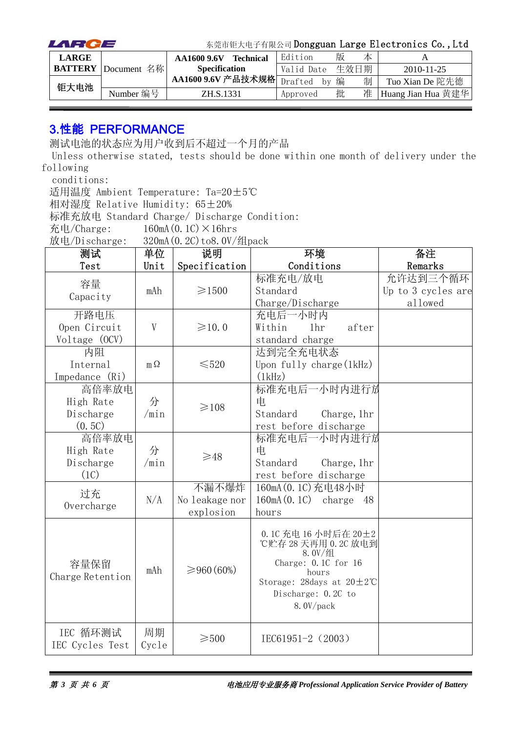| LARCE        |                            |                                 | 东莞市钜大电子有限公司 Dongguan Large Electronics Co., Ltd |   |      |                    |
|--------------|----------------------------|---------------------------------|-------------------------------------------------|---|------|--------------------|
| <b>LARGE</b> |                            | <b>Technical</b><br>AA1600 9.6V | Edition                                         | 版 | 本    |                    |
|              | <b>BATTERY</b> Document 名称 | <b>Specification</b>            | Valid Date                                      |   | 生效日期 | $2010 - 11 - 25$   |
| 钜大电池         |                            | AA1600 9.6V 产品技术规格              | Drafted<br>hv                                   | 编 | 制    | Tuo Xian De 陀先德    |
|              | Number 编号                  | ZH.S.1331                       | Approved                                        | 批 | 准    | Huang Jian Hua 黄建华 |

#### 3.性能 PERFORMANCE

测试电池的状态应为用户收到后不超过一个月的产品

Unless otherwise stated, tests should be done within one month of delivery under the following

conditions:

适用温度 Ambient Temperature: Ta=20±5℃

相对湿度 Relative Humidity: 65±20%

标准充放电 Standard Charge/ Discharge Condition:

充电/Charge:  $160mA(0.1C) \times 16hrs$ 

放电/Discharge: 320mA(0.2C)to8.0V/组pack

| 测试                          | 单位          | 说明              | 环境                                                                                                                                                                         | 备注                 |
|-----------------------------|-------------|-----------------|----------------------------------------------------------------------------------------------------------------------------------------------------------------------------|--------------------|
| Test                        | Unit        | Specification   | Conditions                                                                                                                                                                 | Remarks            |
| 容量                          |             |                 | 标准充电/放电                                                                                                                                                                    | 允许达到三个循环           |
| Capacity                    | mAh         | $\geq 1500$     | Standard                                                                                                                                                                   | Up to 3 cycles are |
|                             |             |                 | Charge/Discharge                                                                                                                                                           | allowed            |
| 开路电压                        |             |                 | 充电后一小时内                                                                                                                                                                    |                    |
| Open Circuit                | V           | $\geq 10.0$     | Within<br>1 <sub>hr</sub><br>after                                                                                                                                         |                    |
| Voltage (OCV)               |             |                 | standard charge                                                                                                                                                            |                    |
| 内阻                          |             |                 | 达到完全充电状态                                                                                                                                                                   |                    |
| Internal                    | $m\Omega$   | $\leq 520$      | Upon fully charge $(1kHz)$                                                                                                                                                 |                    |
| Impedance (Ri)              |             |                 | (1kHz)                                                                                                                                                                     |                    |
| 高倍率放电                       |             |                 | 标准充电后一小时内进行放                                                                                                                                                               |                    |
| High Rate                   | 分           | $\geq 108$      | 电                                                                                                                                                                          |                    |
| Discharge                   | /min        |                 | Standard<br>Charge, 1hr                                                                                                                                                    |                    |
| (0.5C)                      |             |                 | rest before discharge                                                                                                                                                      |                    |
| 高倍率放电                       |             |                 | 标准充电后一小时内进行放                                                                                                                                                               |                    |
| High Rate                   | 分           | $\geq 48$       | 电                                                                                                                                                                          |                    |
| Discharge                   | /min        |                 | Standard<br>Charge, 1hr                                                                                                                                                    |                    |
| (1C)                        |             |                 | rest before discharge                                                                                                                                                      |                    |
| 过充                          |             | 不漏不爆炸           | 160mA (0.1C) 充电48小时                                                                                                                                                        |                    |
| Overcharge                  | N/A         | No leakage nor  | $160mA(0.1C)$ charge<br>- 48                                                                                                                                               |                    |
|                             |             | explosion       | hours                                                                                                                                                                      |                    |
| 容量保留<br>Charge Retention    | mAh         | ≥960(60%)       | 0.1C 充电 16 小时后在 20±2<br>℃贮存 28 天再用 0.2C 放电到<br>$8.0V/\n$<br>Charge: $0.1C$ for $16$<br>hours<br>Storage: 28days at $20 \pm 2^{\circ}$ C<br>Discharge: 0.2C to<br>8.0V/pack |                    |
| IEC 循环测试<br>IEC Cycles Test | 周期<br>Cycle | $\geqslant$ 500 | IEC61951-2 (2003)                                                                                                                                                          |                    |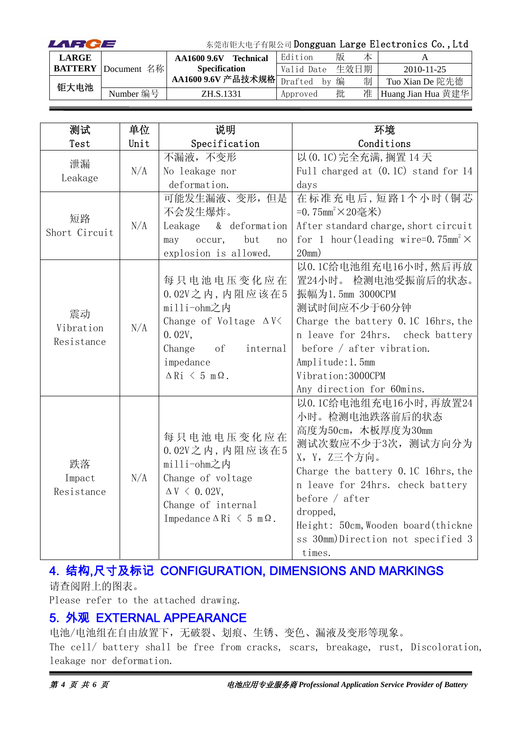| LARCE          |             | 东莞市钜大电子有限公司 Dongguan Large Electronics Co., Ltd |                  |               |   |      |                    |  |
|----------------|-------------|-------------------------------------------------|------------------|---------------|---|------|--------------------|--|
| <b>LARGE</b>   |             | AA1600 9.6V                                     | <b>Technical</b> | Edition       | 版 | 本    |                    |  |
| <b>BATTERY</b> | Document 名称 | <b>Specification</b>                            |                  | Valid Date    |   | 生效日期 | $2010 - 11 - 25$   |  |
| 钜大电池           |             | AA1600 9.6V 产品技术规格                              |                  | Drafted<br>hv | 编 | 制    | Tuo Xian De 陀先德    |  |
|                | Number 编号   | ZH.S.1331                                       |                  | Approved      | 批 | 准    | Huang Jian Hua 黄建华 |  |

| 测试                            | 单位   | 说明                                                                                                                                                                      | 环境                                                                                                                                                                                                                                                                                                  |
|-------------------------------|------|-------------------------------------------------------------------------------------------------------------------------------------------------------------------------|-----------------------------------------------------------------------------------------------------------------------------------------------------------------------------------------------------------------------------------------------------------------------------------------------------|
| Test                          | Unit | Specification                                                                                                                                                           | Conditions                                                                                                                                                                                                                                                                                          |
| 泄漏<br>Leakage                 | N/A  | 不漏液,不变形<br>No leakage nor<br>deformation.                                                                                                                               | 以 (0.1C) 完全充满, 搁置 14 天<br>Full charged at $(0.1C)$ stand for 14                                                                                                                                                                                                                                     |
| 短路<br>Short Circuit           | N/A  | 可能发生漏液、变形,但是<br>不会发生爆炸。<br>& deformation<br>Leakage<br>but<br>occur,<br>may<br>no<br>explosion is allowed.                                                              | days<br>在标准充电后,短路1个小时(铜芯<br>=0.75mm <sup>2</sup> ×20毫米)<br>After standard charge, short circuit<br>for 1 hour (leading wire=0.75mm <sup>2</sup> $\times$<br>20mm)                                                                                                                                   |
| 震动<br>Vibration<br>Resistance | N/A  | 每只电池电压变化应在<br>$0.02V$ 之内, 内阻应该在5<br>milli-ohm之内<br>Change of Voltage $\Delta V$<br>0.02V,<br>Change<br>of<br>internal<br>impedance<br>$\Delta$ Ri $\leq$ 5 m $\Omega$ . | 以0.1C给电池组充电16小时,然后再放<br>置24小时。 检测电池受振前后的状态。<br>振幅为1.5mm 3000CPM<br>测试时间应不少于60分钟<br>Charge the battery 0.1C 16hrs, the<br>n leave for 24hrs. check battery<br>before $/$ after vibration.<br>Amplitude: 1. 5mm<br>Vibration: 3000CPM<br>Any direction for 60mins.                                    |
| 跌落<br>Impact<br>Resistance    | N/A  | 每只电池电压变化应在<br>$0.02V$ 之内, 内阻应该在5<br>milli-ohm之内<br>Change of voltage<br>$\Delta V \leq 0.02V$ ,<br>Change of internal<br>Impedance $\Delta$ Ri $\leq$ 5 m $\Omega$ .    | 以0.1C给电池组充电16小时,再放置24<br>小时。检测电池跌落前后的状态<br>高度为50cm, 木板厚度为30mm<br>测试次数应不少于3次, 测试方向分为<br>X, Y, Z三个方向。<br>Charge the battery 0.1C 16hrs, the<br>n leave for 24hrs. check battery<br>before $/$ after<br>dropped,<br>Height: 50cm, Wooden board (thickne<br>ss 30mm)Direction not specified 3<br>times. |

#### 4. 结构,尺寸及标记 CONFIGURATION, DIMENSIONS AND MARKINGS 请查阅附上的图表。

Please refer to the attached drawing.

#### 5. 外观 EXTERNAL APPEARANCE

电池/电池组在自由放置下,无破裂、划痕、生锈、变色、漏液及变形等现象。

The cell/ battery shall be free from cracks, scars, breakage, rust, Discoloration, leakage nor deformation.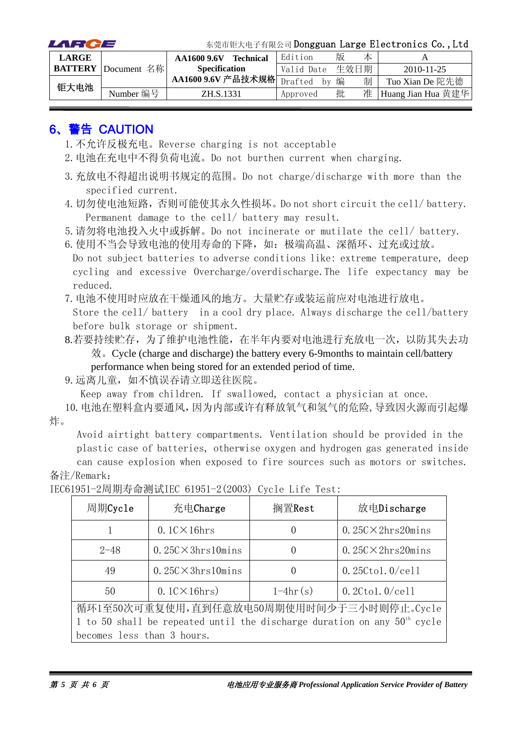| LARCE        |                            | 东莞市钜大电子有限公司 Dongguan Large Electronics Co., Ltd |            |      |   |                    |  |
|--------------|----------------------------|-------------------------------------------------|------------|------|---|--------------------|--|
| <b>LARGE</b> |                            | <b>Technical</b><br>AA1600 9.6V                 | Edition    | 版    | 本 |                    |  |
|              | <b>BATTERY</b> Document 名称 | <b>Specification</b>                            | Valid Date | 生效日期 |   | 2010-11-25         |  |
| 钜大电池         |                            | AA1600 9.6V 产品技术规格 Drafted                      | by         | 编    | 制 | Tuo Xian De 陀先德    |  |
|              | Number 编号                  | ZH.S.1331                                       | Approved   | 批    | 准 | Huang Jian Hua 黄建华 |  |

### 6、警告 CAUTION

- 1.不允许反极充电。Reverse charging is not acceptable
- 2.电池在充电中不得负荷电流。Do not burthen current when charging.
- 3.充放电不得超出说明书规定的范围。Do not charge/discharge with more than the specified current.
- 4.切勿使电池短路,否则可能使其永久性损坏。Do not short circuit the cell/ battery. Permanent damage to the cell/ battery may result.

5.请勿将电池投入火中或拆解。Do not incinerate or mutilate the cell/ battery.

6. 使用不当会导致电池的使用寿命的下降,如:极端高温、深循环、过充或过放。 Do not subject batteries to adverse conditions like: extreme temperature, deep cycling and excessive Overcharge/overdischarge.The life expectancy may be reduced.

7.电池不使用时应放在干燥通风的地方。大量贮存或装运前应对电池进行放电。

Store the cell/ battery in a cool dry place. Always discharge the cell/battery before bulk storage or shipment.

8.若要持续贮存,为了维护电池性能,在半年内要对电池进行充放电一次,以防其失去功 效。Cycle (charge and discharge) the battery every 6-9months to maintain cell/battery performance when being stored for an extended period of time.

9.远离儿童,如不慎误吞请立即送往医院。

Keep away from children. If swallowed, contact a physician at once.

10.电池在塑料盒内要通风,因为内部或许有释放氧气和氢气的危险,导致因火源而引起爆 炸。

Avoid airtight battery compartments. Ventilation should be provided in the plastic case of batteries, otherwise oxygen and hydrogen gas generated inside

can cause explosion when exposed to fire sources such as motors or switches. 备注/Remark:

| 周期Cycle                                                                    | 充电Charge                                                       | 搁置Rest           | 放电Discharge                |  |  |  |  |  |
|----------------------------------------------------------------------------|----------------------------------------------------------------|------------------|----------------------------|--|--|--|--|--|
|                                                                            | $0.1$ C $\times$ 16hrs                                         | $\left( \right)$ | $0.25C \times 2hrs20 mins$ |  |  |  |  |  |
| $2 - 48$                                                                   | $0.25C \times 3hrs10 mins$                                     | $\theta$         | $0.25C \times 2hrs20 mins$ |  |  |  |  |  |
| 49                                                                         | $0.25C \times 3hrs10 mins$                                     | $\left( \right)$ | $0.25C$ tol. $0$ /cell     |  |  |  |  |  |
| 50                                                                         | $1-4hr(s)$<br>$0.1$ C $\times$ 16hrs)<br>$0.2C$ tol. $0$ /cell |                  |                            |  |  |  |  |  |
| 循环1至50次可重复使用,直到任意放电50周期使用时间少于三小时则停止。Cycle                                  |                                                                |                  |                            |  |  |  |  |  |
| 1 to 50 shall be repeated until the discharge duration on any $50th$ cycle |                                                                |                  |                            |  |  |  |  |  |
| becomes less than 3 hours.                                                 |                                                                |                  |                            |  |  |  |  |  |

IEC61951-2周期寿命测试IEC 61951-2(2003) Cycle Life Test: